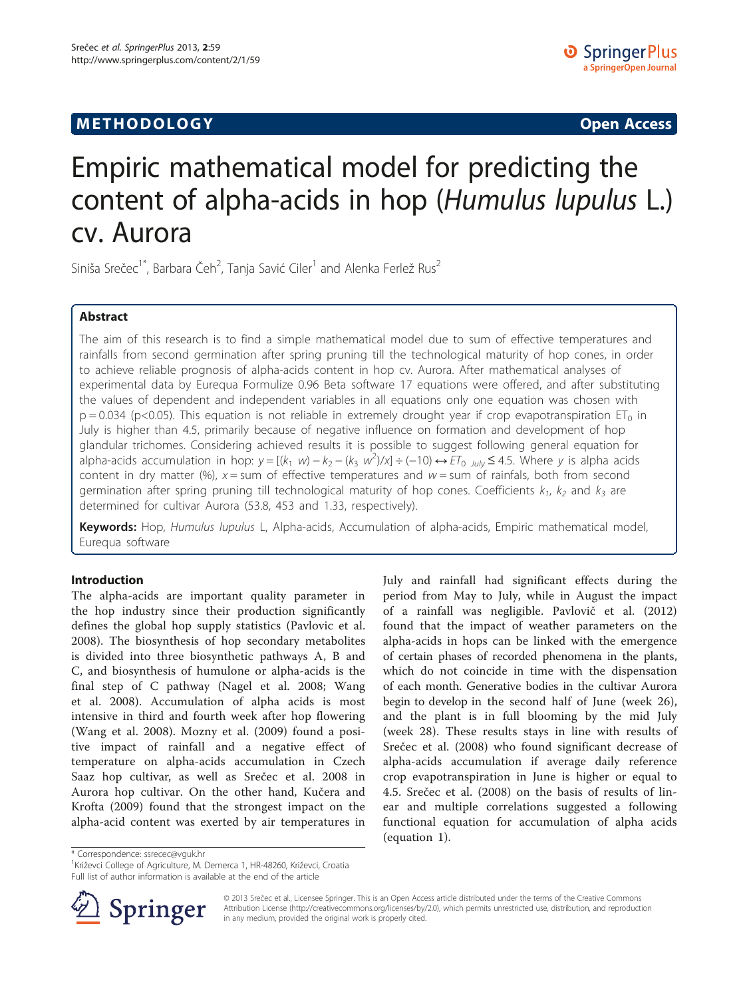## **METHODOLOGY CONSUMING ACCESS**

# Empiric mathematical model for predicting the content of alpha-acids in hop (Humulus lupulus L.) cv. Aurora

Siniša Srečec<sup>1\*</sup>, Barbara Čeh<sup>2</sup>, Tanja Savić Ciler<sup>1</sup> and Alenka Ferlež Rus<sup>2</sup>

## Abstract

The aim of this research is to find a simple mathematical model due to sum of effective temperatures and rainfalls from second germination after spring pruning till the technological maturity of hop cones, in order to achieve reliable prognosis of alpha-acids content in hop cv. Aurora. After mathematical analyses of experimental data by Eurequa Formulize 0.96 Beta software 17 equations were offered, and after substituting the values of dependent and independent variables in all equations only one equation was chosen with  $p = 0.034$  (p<0.05). This equation is not reliable in extremely drought year if crop evapotranspiration ET<sub>0</sub> in July is higher than 4.5, primarily because of negative influence on formation and development of hop glandular trichomes. Considering achieved results it is possible to suggest following general equation for alpha-acids accumulation in hop:  $y = [(k_1 \ w) - k_2 - (k_3 \ w^2)/x] \div (-10) \leftrightarrow ET_0$  July ≤ 4.5. Where y is alpha acids<br>content in dry matter (%), y – sum of effective temperatures and w – sum of rainfals, both from second content in dry matter (%),  $x =$  sum of effective temperatures and  $w =$  sum of rainfals, both from second germination after spring pruning till technological maturity of hop cones. Coefficients  $k_1$ ,  $k_2$  and  $k_3$  are determined for cultivar Aurora (53.8, 453 and 1.33, respectively).

Keywords: Hop, Humulus lupulus L, Alpha-acids, Accumulation of alpha-acids, Empiric mathematical model, Eurequa software

## Introduction

The alpha-acids are important quality parameter in the hop industry since their production significantly defines the global hop supply statistics (Pavlovic et al. [2008\)](#page-3-0). The biosynthesis of hop secondary metabolites is divided into three biosynthetic pathways A, B and C, and biosynthesis of humulone or alpha-acids is the final step of C pathway (Nagel et al. [2008](#page-3-0); Wang et al. [2008](#page-4-0)). Accumulation of alpha acids is most intensive in third and fourth week after hop flowering (Wang et al. [2008](#page-4-0)). Mozny et al. [\(2009](#page-3-0)) found a positive impact of rainfall and a negative effect of temperature on alpha-acids accumulation in Czech Saaz hop cultivar, as well as Srečec et al. [2008](#page-3-0) in Aurora hop cultivar. On the other hand, Kučera and Krofta ([2009\)](#page-3-0) found that the strongest impact on the alpha-acid content was exerted by air temperatures in

July and rainfall had significant effects during the period from May to July, while in August the impact of a rainfall was negligible. Pavlovič et al. [\(2012](#page-3-0)) found that the impact of weather parameters on the alpha-acids in hops can be linked with the emergence of certain phases of recorded phenomena in the plants, which do not coincide in time with the dispensation of each month. Generative bodies in the cultivar Aurora begin to develop in the second half of June (week 26), and the plant is in full blooming by the mid July (week 28). These results stays in line with results of Srečec et al. [\(2008](#page-3-0)) who found significant decrease of alpha-acids accumulation if average daily reference crop evapotranspiration in June is higher or equal to 4.5. Srečec et al. [\(2008](#page-3-0)) on the basis of results of linear and multiple correlations suggested a following functional equation for accumulation of alpha acids (equation [1](#page-1-0)).

\* Correspondence: [ssrecec@vguk.hr](mailto:ssrecec@vguk.hr) <sup>1</sup>

<sup>1</sup> Križevci College of Agriculture, M. Demerca 1, HR-48260, Križevci, Croatia Full list of author information is available at the end of the article



© 2013 Srečec et al., Licensee Springer. This is an Open Access article distributed under the terms of the Creative Commons Attribution License [\(http://creativecommons.org/licenses/by/2.0\)](http://creativecommons.org/licenses/by/2.0), which permits unrestricted use, distribution, and reproduction in any medium, provided the original work is properly cited.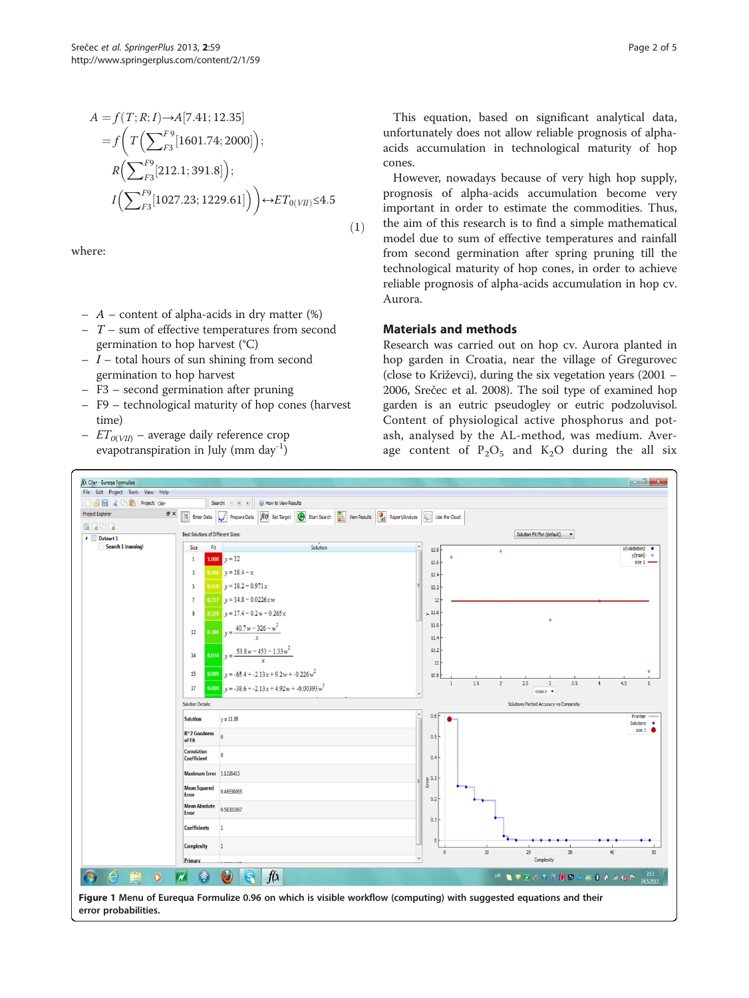<span id="page-1-0"></span>
$$
A = f(T; R; I) \rightarrow A[7.41; 12.35]
$$
  
=  $f\left(T\left(\sum_{F3}^{F9} [1601.74; 2000]\right);$   
 $R\left(\sum_{F3}^{F9} [212.1; 391.8]\right);$   
 $I\left(\sum_{F3}^{F9} [1027.23; 1229.61]\right)\right) \leftrightarrow ET_{0(VII)} \le 4.5$  (1)

where:

- $-$  A content of alpha-acids in dry matter  $(\%)$
- $T$  sum of effective temperatures from second germination to hop harvest (°C)
- $-I$  total hours of sun shining from second germination to hop harvest
- F3 second germination after pruning
- F9 technological maturity of hop cones (harvest time)
- $ET_{\alpha(VI)}$  average daily reference crop evapotranspiration in July (mm day<sup>-1</sup>)

However, nowadays because of very high hop supply, prognosis of alpha-acids accumulation become very important in order to estimate the commodities. Thus, the aim of this research is to find a simple mathematical model due to sum of effective temperatures and rainfall from second germination after spring pruning till the technological maturity of hop cones, in order to achieve reliable prognosis of alpha-acids accumulation in hop cv. Aurora.

## Materials and methods

Research was carried out on hop cv. Aurora planted in hop garden in Croatia, near the village of Gregurovec (close to Križevci), during the six vegetation years (2001 – 2006, Srečec et al. [2008\)](#page-3-0). The soil type of examined hop garden is an eutric pseudogley or eutric podzoluvisol. Content of physiological active phosphorus and potash, analysed by the AL-method, was medium. Average content of  $P_2O_5$  and  $K_2O$  during the all six



error probabilities.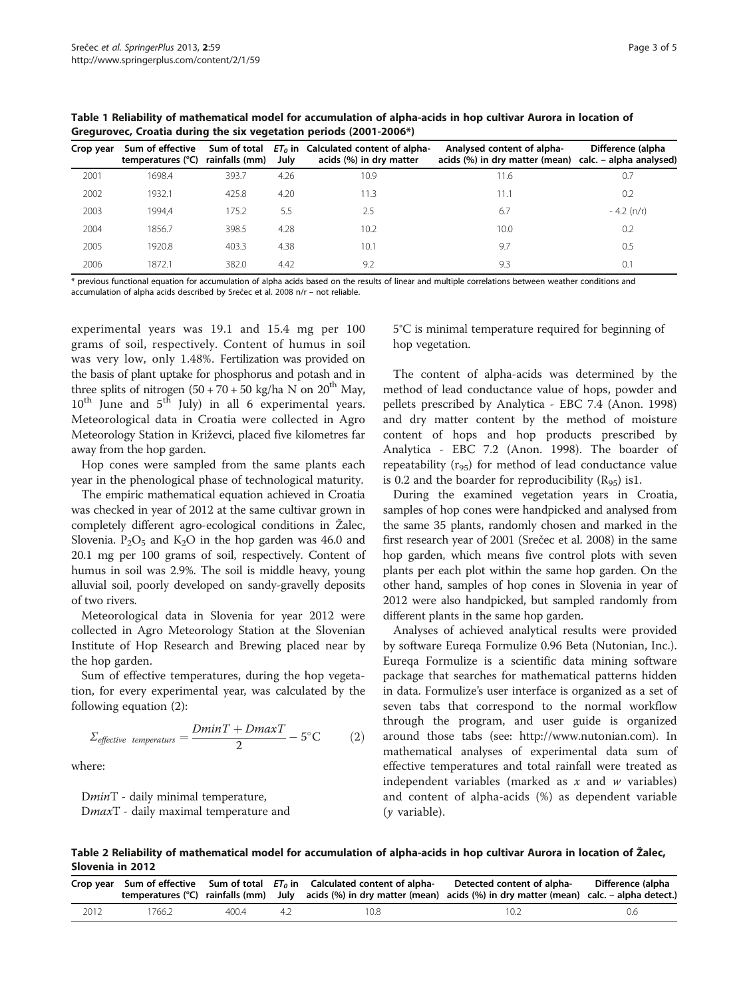| Crop year | Sum of effective<br>temperatures (°C) | Sum of total<br>rainfalls (mm) | July | $ET0$ in Calculated content of alpha-<br>acids (%) in dry matter | Analysed content of alpha-<br>acids (%) in dry matter (mean) calc. – alpha analysed) | Difference (alpha |
|-----------|---------------------------------------|--------------------------------|------|------------------------------------------------------------------|--------------------------------------------------------------------------------------|-------------------|
| 2001      | 1698.4                                | 393.7                          | 4.26 | 10.9                                                             | 11.6                                                                                 | 0.7               |
| 2002      | 1932.1                                | 425.8                          | 4.20 | 11.3                                                             | 11.1                                                                                 | 0.2               |
| 2003      | 1994.4                                | 175.2                          | 5.5  | 2.5                                                              | 6.7                                                                                  | $-4.2$ (n/r)      |
| 2004      | 1856.7                                | 398.5                          | 4.28 | 10.2                                                             | 10.0                                                                                 | 0.2               |
| 2005      | 1920.8                                | 403.3                          | 4.38 | 10.1                                                             | 9.7                                                                                  | 0.5               |
| 2006      | 1872.1                                | 382.0                          | 4.42 | 9.2                                                              | 9.3                                                                                  | 0.1               |

<span id="page-2-0"></span>Table 1 Reliability of mathematical model for accumulation of alpha-acids in hop cultivar Aurora in location of Gregurovec, Croatia during the six vegetation periods (2001-2006\*)

\* previous functional equation for accumulation of alpha acids based on the results of linear and multiple correlations between weather conditions and accumulation of alpha acids described by Srečec et al. [2008](#page-3-0) n/r – not reliable.

experimental years was 19.1 and 15.4 mg per 100 grams of soil, respectively. Content of humus in soil was very low, only 1.48%. Fertilization was provided on the basis of plant uptake for phosphorus and potash and in three splits of nitrogen  $(50 + 70 + 50 \text{ kg/ha} \text{ N}$  on  $20^{\text{th}}$  May,  $10^{th}$  June and  $5^{th}$  July) in all 6 experimental years. Meteorological data in Croatia were collected in Agro Meteorology Station in Križevci, placed five kilometres far away from the hop garden.

Hop cones were sampled from the same plants each year in the phenological phase of technological maturity.

The empiric mathematical equation achieved in Croatia was checked in year of 2012 at the same cultivar grown in completely different agro-ecological conditions in Žalec, Slovenia.  $P_2O_5$  and  $K_2O$  in the hop garden was 46.0 and 20.1 mg per 100 grams of soil, respectively. Content of humus in soil was 2.9%. The soil is middle heavy, young alluvial soil, poorly developed on sandy-gravelly deposits of two rivers.

Meteorological data in Slovenia for year 2012 were collected in Agro Meteorology Station at the Slovenian Institute of Hop Research and Brewing placed near by the hop garden.

Sum of effective temperatures, during the hop vegetation, for every experimental year, was calculated by the following equation (2):

$$
\Sigma_{effective\ temperature} = \frac{DminT + DmaxT}{2} - 5^{\circ}\text{C}
$$
 (2)

where:

DminT - daily minimal temperature, DmaxT - daily maximal temperature and 5°C is minimal temperature required for beginning of hop vegetation.

The content of alpha-acids was determined by the method of lead conductance value of hops, powder and pellets prescribed by Analytica - EBC 7.4 (Anon. [1998](#page-3-0)) and dry matter content by the method of moisture content of hops and hop products prescribed by Analytica - EBC 7.2 (Anon. [1998\)](#page-3-0). The boarder of repeatability  $(r_{95})$  for method of lead conductance value is 0.2 and the boarder for reproducibility  $(R_{95})$  is1.

During the examined vegetation years in Croatia, samples of hop cones were handpicked and analysed from the same 35 plants, randomly chosen and marked in the first research year of 2001 (Srečec et al. [2008\)](#page-3-0) in the same hop garden, which means five control plots with seven plants per each plot within the same hop garden. On the other hand, samples of hop cones in Slovenia in year of 2012 were also handpicked, but sampled randomly from different plants in the same hop garden.

Analyses of achieved analytical results were provided by software Eureqa Formulize 0.96 Beta (Nutonian, Inc.). Eureqa Formulize is a scientific data mining software package that searches for mathematical patterns hidden in data. Formulize's user interface is organized as a set of seven tabs that correspond to the normal workflow through the program, and user guide is organized around those tabs (see: [http://www.nutonian.com\)](http://www.nutonian.com). In mathematical analyses of experimental data sum of effective temperatures and total rainfall were treated as independent variables (marked as  $x$  and  $w$  variables) and content of alpha-acids (%) as dependent variable (y variable).

Table 2 Reliability of mathematical model for accumulation of alpha-acids in hop cultivar Aurora in location of Žalec, Slovenia in 2012

|      |        |       |     | Crop year Sum of effective Sum of total $ET0$ in Calculated content of alpha-<br>temperatures (°C) rainfalls (mm) July acids (%) in dry matter (mean) acids (%) in dry matter (mean) calc. – alpha detect.) | Detected content of alpha- | Difference (alpha |
|------|--------|-------|-----|-------------------------------------------------------------------------------------------------------------------------------------------------------------------------------------------------------------|----------------------------|-------------------|
| 2012 | 1766.2 | 400.4 | -42 | 10.8-                                                                                                                                                                                                       | 10.2                       | 0.6               |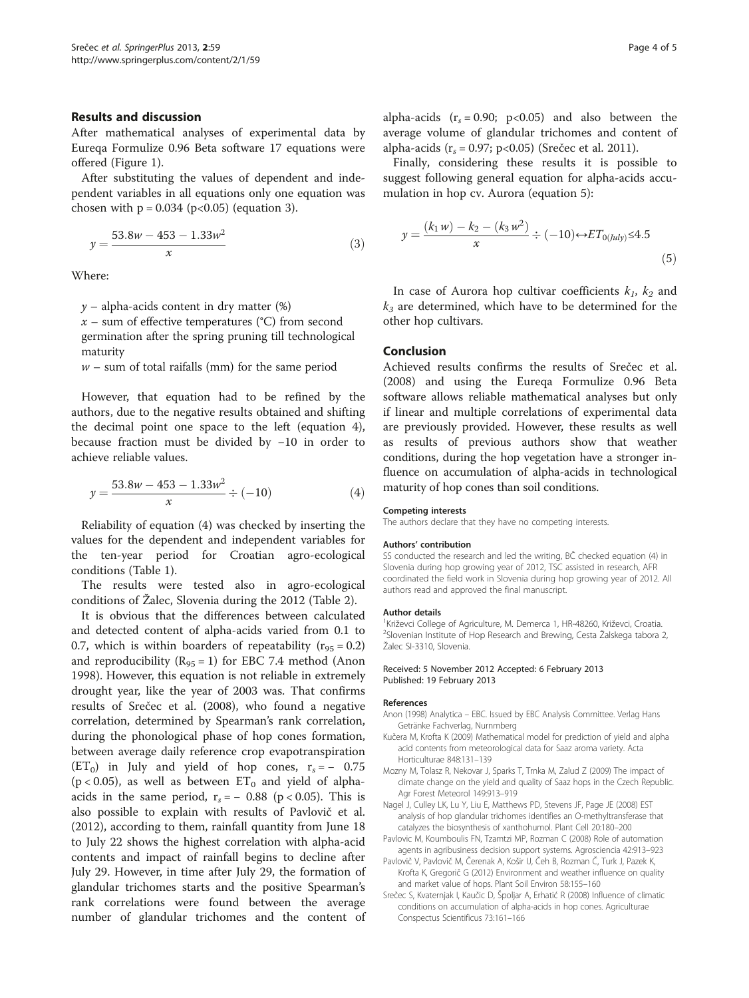#### <span id="page-3-0"></span>Results and discussion

After mathematical analyses of experimental data by Eureqa Formulize 0.96 Beta software 17 equations were offered (Figure [1\)](#page-1-0).

After substituting the values of dependent and independent variables in all equations only one equation was chosen with  $p = 0.034$  ( $p < 0.05$ ) (equation 3).

$$
y = \frac{53.8w - 453 - 1.33w^2}{x}
$$
 (3)

Where:

 $y$  – alpha-acids content in dry matter  $(\%)$ 

 $x$  – sum of effective temperatures (°C) from second germination after the spring pruning till technological maturity

 $w$  – sum of total raifalls (mm) for the same period

However, that equation had to be refined by the authors, due to the negative results obtained and shifting the decimal point one space to the left (equation 4), because fraction must be divided by −10 in order to achieve reliable values.

$$
y = \frac{53.8w - 453 - 1.33w^2}{x} \div (-10)
$$
 (4)

Reliability of equation (4) was checked by inserting the values for the dependent and independent variables for the ten-year period for Croatian agro-ecological conditions (Table [1\)](#page-2-0).

The results were tested also in agro-ecological conditions of Žalec, Slovenia during the 2012 (Table [2\)](#page-2-0).

It is obvious that the differences between calculated and detected content of alpha-acids varied from 0.1 to 0.7, which is within boarders of repeatability  $(r_{95} = 0.2)$ and reproducibility  $(R_{95} = 1)$  for EBC 7.4 method (Anon 1998). However, this equation is not reliable in extremely drought year, like the year of 2003 was. That confirms results of Srečec et al. (2008), who found a negative correlation, determined by Spearman's rank correlation, during the phonological phase of hop cones formation, between average daily reference crop evapotranspiration  $(ET_0)$  in July and yield of hop cones,  $r_s = -0.75$  $(p < 0.05)$ , as well as between  $ET_0$  and yield of alphaacids in the same period,  $r_s = -0.88$  (p < 0.05). This is also possible to explain with results of Pavlovič et al. (2012), according to them, rainfall quantity from June 18 to July 22 shows the highest correlation with alpha-acid contents and impact of rainfall begins to decline after July 29. However, in time after July 29, the formation of glandular trichomes starts and the positive Spearman's rank correlations were found between the average number of glandular trichomes and the content of

alpha-acids  $(r_s = 0.90; p<0.05)$  and also between the average volume of glandular trichomes and content of alpha-acids ( $r_s = 0.97$ ; p<0.05) (Srečec et al. [2011\)](#page-4-0).

Finally, considering these results it is possible to suggest following general equation for alpha-acids accumulation in hop cv. Aurora (equation 5):

$$
y = \frac{(k_1 w) - k_2 - (k_3 w^2)}{x} \div (-10) \leftrightarrow ET_{0(luly)} \le 4.5
$$
\n(5)

In case of Aurora hop cultivar coefficients  $k_1$ ,  $k_2$  and  $k_3$  are determined, which have to be determined for the other hop cultivars.

### Conclusion

Achieved results confirms the results of Srečec et al. (2008) and using the Eureqa Formulize 0.96 Beta software allows reliable mathematical analyses but only if linear and multiple correlations of experimental data are previously provided. However, these results as well as results of previous authors show that weather conditions, during the hop vegetation have a stronger influence on accumulation of alpha-acids in technological maturity of hop cones than soil conditions.

#### Competing interests

The authors declare that they have no competing interests.

#### Authors' contribution

SS conducted the research and led the writing, BČ checked equation (4) in Slovenia during hop growing year of 2012, TSC assisted in research, AFR coordinated the field work in Slovenia during hop growing year of 2012. All authors read and approved the final manuscript.

#### Author details

<sup>1</sup> Križevci College of Agriculture, M. Demerca 1, HR-48260, Križevci, Croatia.<br><sup>2</sup> Slovenian Institute of Hon Besearch and Brewing. Cesta Žalskega tabora. <sup>2</sup>Slovenian Institute of Hop Research and Brewing, Cesta Žalskega tabora 2, Žalec SI-3310, Slovenia.

#### Received: 5 November 2012 Accepted: 6 February 2013 Published: 19 February 2013

#### References

- Anon (1998) Analytica EBC. Issued by EBC Analysis Committee. Verlag Hans Getränke Fachverlag, Nurnmberg
- Kučera M, Krofta K (2009) Mathematical model for prediction of yield and alpha acid contents from meteorological data for Saaz aroma variety. Acta Horticulturae 848:131–139
- Mozny M, Tolasz R, Nekovar J, Sparks T, Trnka M, Zalud Z (2009) The impact of climate change on the yield and quality of Saaz hops in the Czech Republic. Agr Forest Meteorol 149:913–919
- Nagel J, Culley LK, Lu Y, Liu E, Matthews PD, Stevens JF, Page JE (2008) EST analysis of hop glandular trichomes identifies an O-methyltransferase that catalyzes the biosynthesis of xanthohumol. Plant Cell 20:180–200
- Pavlovic M, Koumboulis FN, Tzamtzi MP, Rozman C (2008) Role of automation agents in agribusiness decision support systems. Agrosciencia 42:913–923
- Pavlovič V, Pavlovič M, Čerenak A, Košir IJ, Čeh B, Rozman Č, Turk J, Pazek K, Krofta K, Gregorič G (2012) Environment and weather influence on quality and market value of hops. Plant Soil Environ 58:155–160
- Srečec S, Kvaternjak I, Kaučic D, Špoljar A, Erhatić R (2008) Influence of climatic conditions on accumulation of alpha-acids in hop cones. Agriculturae Conspectus Scientificus 73:161–166